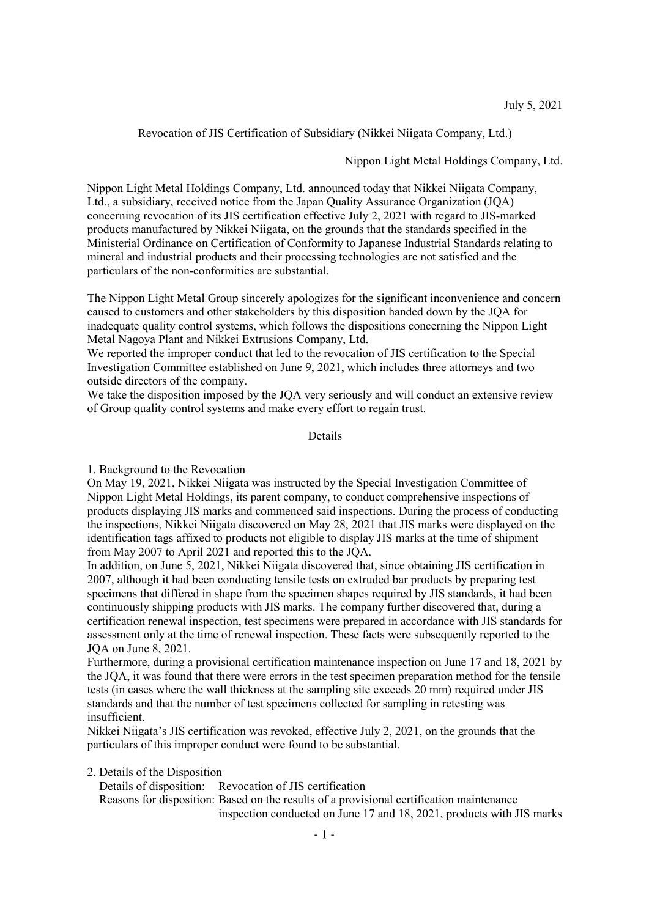Revocation of JIS Certification of Subsidiary (Nikkei Niigata Company, Ltd.)

Nippon Light Metal Holdings Company, Ltd.

Nippon Light Metal Holdings Company, Ltd. announced today that Nikkei Niigata Company, Ltd., a subsidiary, received notice from the Japan Quality Assurance Organization (JQA) concerning revocation of its JIS certification effective July 2, 2021 with regard to JIS-marked products manufactured by Nikkei Niigata, on the grounds that the standards specified in the Ministerial Ordinance on Certification of Conformity to Japanese Industrial Standards relating to mineral and industrial products and their processing technologies are not satisfied and the particulars of the non-conformities are substantial.

The Nippon Light Metal Group sincerely apologizes for the significant inconvenience and concern caused to customers and other stakeholders by this disposition handed down by the JQA for inadequate quality control systems, which follows the dispositions concerning the Nippon Light Metal Nagoya Plant and Nikkei Extrusions Company, Ltd.

We reported the improper conduct that led to the revocation of JIS certification to the Special Investigation Committee established on June 9, 2021, which includes three attorneys and two outside directors of the company.

We take the disposition imposed by the JQA very seriously and will conduct an extensive review of Group quality control systems and make every effort to regain trust.

Details

1. Background to the Revocation

On May 19, 2021, Nikkei Niigata was instructed by the Special Investigation Committee of Nippon Light Metal Holdings, its parent company, to conduct comprehensive inspections of products displaying JIS marks and commenced said inspections. During the process of conducting the inspections, Nikkei Niigata discovered on May 28, 2021 that JIS marks were displayed on the identification tags affixed to products not eligible to display JIS marks at the time of shipment from May 2007 to April 2021 and reported this to the JQA.

In addition, on June 5, 2021, Nikkei Niigata discovered that, since obtaining JIS certification in 2007, although it had been conducting tensile tests on extruded bar products by preparing test specimens that differed in shape from the specimen shapes required by JIS standards, it had been continuously shipping products with JIS marks. The company further discovered that, during a certification renewal inspection, test specimens were prepared in accordance with JIS standards for assessment only at the time of renewal inspection. These facts were subsequently reported to the JQA on June 8, 2021.

Furthermore, during a provisional certification maintenance inspection on June 17 and 18, 2021 by the JQA, it was found that there were errors in the test specimen preparation method for the tensile tests (in cases where the wall thickness at the sampling site exceeds 20 mm) required under JIS standards and that the number of test specimens collected for sampling in retesting was insufficient.

Nikkei Niigata's JIS certification was revoked, effective July 2, 2021, on the grounds that the particulars of this improper conduct were found to be substantial.

### 2. Details of the Disposition

Details of disposition: Revocation of JIS certification

Reasons for disposition: Based on the results of a provisional certification maintenance inspection conducted on June 17 and 18, 2021, products with JIS marks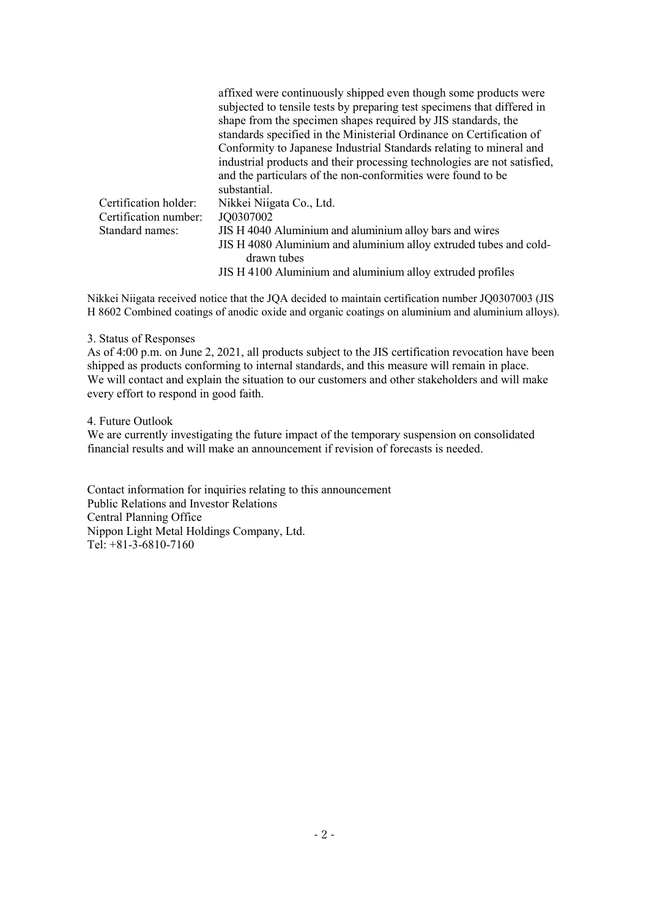|                       | affixed were continuously shipped even though some products were         |
|-----------------------|--------------------------------------------------------------------------|
|                       | subjected to tensile tests by preparing test specimens that differed in  |
|                       | shape from the specimen shapes required by JIS standards, the            |
|                       | standards specified in the Ministerial Ordinance on Certification of     |
|                       | Conformity to Japanese Industrial Standards relating to mineral and      |
|                       | industrial products and their processing technologies are not satisfied, |
|                       | and the particulars of the non-conformities were found to be             |
|                       | substantial.                                                             |
| Certification holder: | Nikkei Niigata Co., Ltd.                                                 |
| Certification number: | JQ0307002                                                                |
| Standard names:       | JIS H 4040 Aluminium and aluminium alloy bars and wires                  |
|                       | JIS H 4080 Aluminium and aluminium alloy extruded tubes and cold-        |
|                       | drawn tubes                                                              |
|                       | JIS H 4100 Aluminium and aluminium alloy extruded profiles               |

Nikkei Niigata received notice that the JQA decided to maintain certification number JQ0307003 (JIS H 8602 Combined coatings of anodic oxide and organic coatings on aluminium and aluminium alloys).

#### 3. Status of Responses

As of 4:00 p.m. on June 2, 2021, all products subject to the JIS certification revocation have been shipped as products conforming to internal standards, and this measure will remain in place. We will contact and explain the situation to our customers and other stakeholders and will make every effort to respond in good faith.

### 4. Future Outlook

We are currently investigating the future impact of the temporary suspension on consolidated financial results and will make an announcement if revision of forecasts is needed.

Contact information for inquiries relating to this announcement Public Relations and Investor Relations Central Planning Office Nippon Light Metal Holdings Company, Ltd. Tel: +81-3-6810-7160